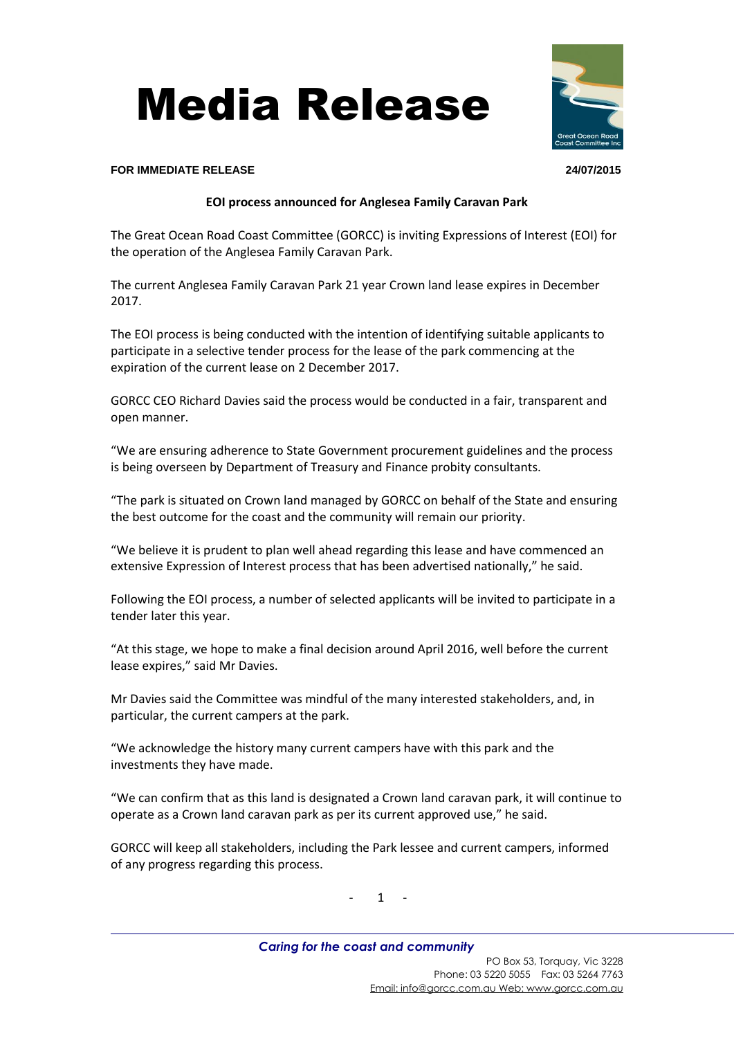## Media Release

## **FOR IMMEDIATE RELEASE 24/07/2015**

## **EOI process announced for Anglesea Family Caravan Park**

The Great Ocean Road Coast Committee (GORCC) is inviting Expressions of Interest (EOI) for the operation of the Anglesea Family Caravan Park.

The current Anglesea Family Caravan Park 21 year Crown land lease expires in December 2017.

The EOI process is being conducted with the intention of identifying suitable applicants to participate in a selective tender process for the lease of the park commencing at the expiration of the current lease on 2 December 2017.

GORCC CEO Richard Davies said the process would be conducted in a fair, transparent and open manner.

"We are ensuring adherence to State Government procurement guidelines and the process is being overseen by Department of Treasury and Finance probity consultants.

"The park is situated on Crown land managed by GORCC on behalf of the State and ensuring the best outcome for the coast and the community will remain our priority.

"We believe it is prudent to plan well ahead regarding this lease and have commenced an extensive Expression of Interest process that has been advertised nationally," he said.

Following the EOI process, a number of selected applicants will be invited to participate in a tender later this year.

"At this stage, we hope to make a final decision around April 2016, well before the current lease expires," said Mr Davies.

Mr Davies said the Committee was mindful of the many interested stakeholders, and, in particular, the current campers at the park.

"We acknowledge the history many current campers have with this park and the investments they have made.

"We can confirm that as this land is designated a Crown land caravan park, it will continue to operate as a Crown land caravan park as per its current approved use," he said.

GORCC will keep all stakeholders, including the Park lessee and current campers, informed of any progress regarding this process.

- 1 -